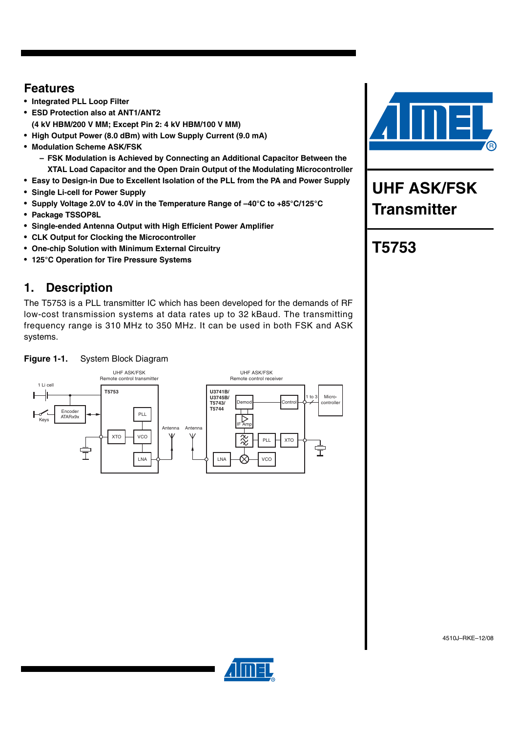### **Features**

- **Integrated PLL Loop Filter**
- **ESD Protection also at ANT1/ANT2 (4 kV HBM/200 V MM; Except Pin 2: 4 kV HBM/100 V MM)**
- **High Output Power (8.0 dBm) with Low Supply Current (9.0 mA)**
- **Modulation Scheme ASK/FSK**
	- **FSK Modulation is Achieved by Connecting an Additional Capacitor Between the XTAL Load Capacitor and the Open Drain Output of the Modulating Microcontroller**
- **Easy to Design-in Due to Excellent Isolation of the PLL from the PA and Power Supply**
- **Single Li-cell for Power Supply**
- **Supply Voltage 2.0V to 4.0V in the Temperature Range of –40°C to +85°C/125°C**
- **Package TSSOP8L**
- **Single-ended Antenna Output with High Efficient Power Amplifier**
- **CLK Output for Clocking the Microcontroller**
- **One-chip Solution with Minimum External Circuitry**
- **125°C Operation for Tire Pressure Systems**

### **1. Description**

The T5753 is a PLL transmitter IC which has been developed for the demands of RF low-cost transmission systems at data rates up to 32 kBaud. The transmitting frequency range is 310 MHz to 350 MHz. It can be used in both FSK and ASK systems.







# **UHF ASK/FSK Transmitter**

# **T5753**

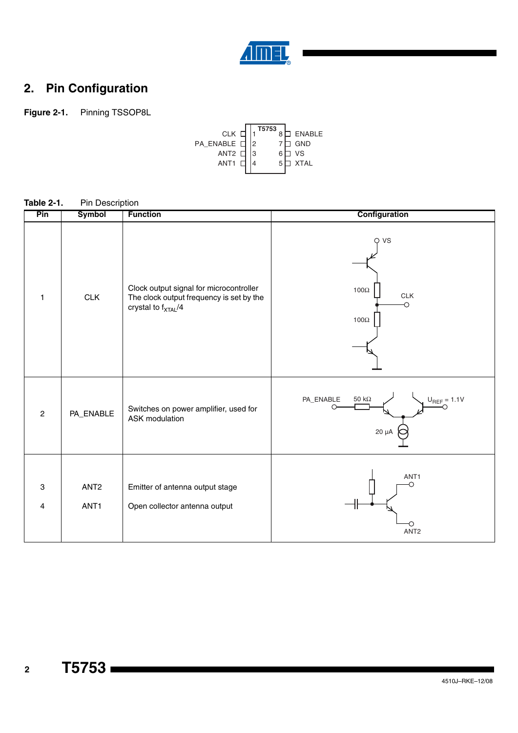

# **2. Pin Configuration**

**Figure 2-1.** Pinning TSSOP8L



| Pin            | Symbol                               | <b>Function</b>                                                                                                        | Configuration                                                |
|----------------|--------------------------------------|------------------------------------------------------------------------------------------------------------------------|--------------------------------------------------------------|
| $\mathbf{1}$   | <b>CLK</b>                           | Clock output signal for microcontroller<br>The clock output frequency is set by the<br>crystal to f <sub>XTAL</sub> /4 | VS<br>∩<br>100 $\Omega$<br>CLK<br>O<br>100 $\Omega$          |
| $\overline{c}$ | PA_ENABLE                            | Switches on power amplifier, used for<br>ASK modulation                                                                | PA_ENABLE<br>50 k $\Omega$<br>$U_{REF} = 1.1V$<br>$20 \mu A$ |
| 3<br>4         | ANT <sub>2</sub><br>ANT <sub>1</sub> | Emitter of antenna output stage<br>Open collector antenna output                                                       | ANT1<br>O<br>О<br>ANT <sub>2</sub>                           |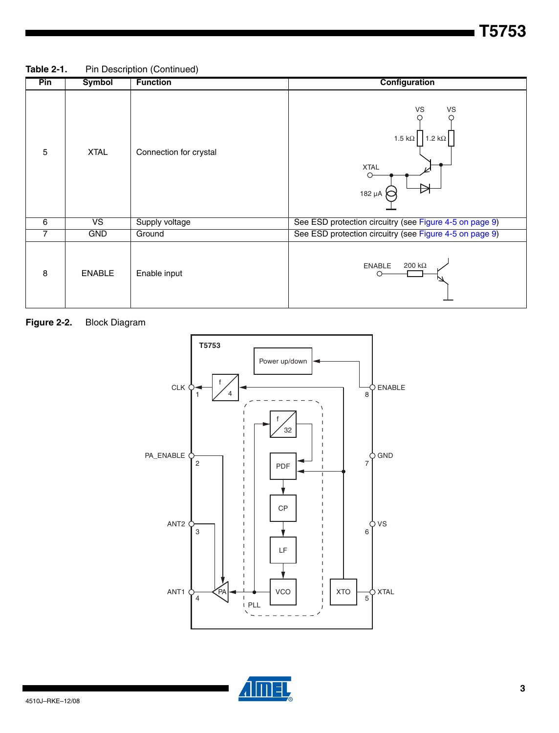**T5753**

Table 2-1. Pin Description (Continued)

| Pin | Symbol                   | <b>Function</b>        | Configuration                                                         |
|-----|--------------------------|------------------------|-----------------------------------------------------------------------|
| 5   | <b>XTAL</b>              | Connection for crystal | VS<br>VS<br>1.5 k $\Omega$<br>1.2 k $\Omega$<br><b>XTAL</b><br>182 µA |
| 6   | $\overline{\mathsf{VS}}$ | Supply voltage         | See ESD protection circuitry (see Figure 4-5 on page 9)               |
| 7   | <b>GND</b>               | Ground                 | See ESD protection circuitry (see Figure 4-5 on page 9)               |
| 8   | <b>ENABLE</b>            | Enable input           | 200 k $\Omega$<br><b>ENABLE</b>                                       |

### **Figure 2-2.** Block Diagram



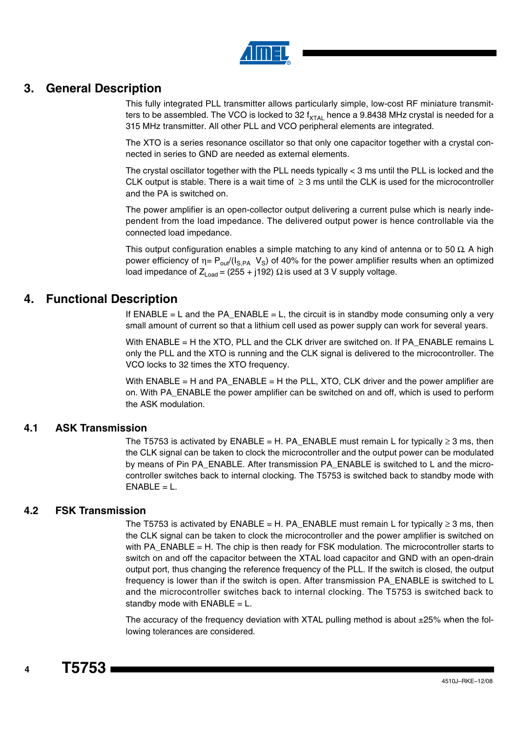

#### **3. General Description**

This fully integrated PLL transmitter allows particularly simple, low-cost RF miniature transmitters to be assembled. The VCO is locked to 32  $f_{\text{XTAL}}$  hence a 9.8438 MHz crystal is needed for a 315 MHz transmitter. All other PLL and VCO peripheral elements are integrated.

The XTO is a series resonance oscillator so that only one capacitor together with a crystal connected in series to GND are needed as external elements.

The crystal oscillator together with the PLL needs typically < 3 ms until the PLL is locked and the CLK output is stable. There is a wait time of  $\geq$  3 ms until the CLK is used for the microcontroller and the PA is switched on.

The power amplifier is an open-collector output delivering a current pulse which is nearly independent from the load impedance. The delivered output power is hence controllable via the connected load impedance.

This output configuration enables a simple matching to any kind of antenna or to 50  $\Omega$ . A high power efficiency of  $η = P<sub>out</sub>/(I<sub>S,PA</sub> V<sub>S</sub>)$  of 40% for the power amplifier results when an optimized load impedance of  $Z_{Load} = (255 + j192)$  Ω is used at 3 V supply voltage.

#### **4. Functional Description**

If  $ENABLE = L$  and the PA\_ENABLE = L, the circuit is in standby mode consuming only a very small amount of current so that a lithium cell used as power supply can work for several years.

With ENABLE = H the XTO, PLL and the CLK driver are switched on. If PA\_ENABLE remains L only the PLL and the XTO is running and the CLK signal is delivered to the microcontroller. The VCO locks to 32 times the XTO frequency.

With ENABLE = H and PA\_ENABLE = H the PLL, XTO, CLK driver and the power amplifier are on. With PA\_ENABLE the power amplifier can be switched on and off, which is used to perform the ASK modulation.

#### **4.1 ASK Transmission**

The T5753 is activated by ENABLE = H. PA\_ENABLE must remain L for typically  $\geq$  3 ms, then the CLK signal can be taken to clock the microcontroller and the output power can be modulated by means of Pin PA\_ENABLE. After transmission PA\_ENABLE is switched to L and the microcontroller switches back to internal clocking. The T5753 is switched back to standby mode with  $ENABLE = L$ .

#### **4.2 FSK Transmission**

The T5753 is activated by  $\mathsf{ENABLE} = \mathsf{H}$ . PA\_ENABLE must remain L for typically  $\geq 3$  ms, then the CLK signal can be taken to clock the microcontroller and the power amplifier is switched on with PA\_ENABLE = H. The chip is then ready for FSK modulation. The microcontroller starts to switch on and off the capacitor between the XTAL load capacitor and GND with an open-drain output port, thus changing the reference frequency of the PLL. If the switch is closed, the output frequency is lower than if the switch is open. After transmission PA\_ENABLE is switched to L and the microcontroller switches back to internal clocking. The T5753 is switched back to standby mode with  $ENABLE = L$ .

The accuracy of the frequency deviation with XTAL pulling method is about ±25% when the following tolerances are considered.

**T5753**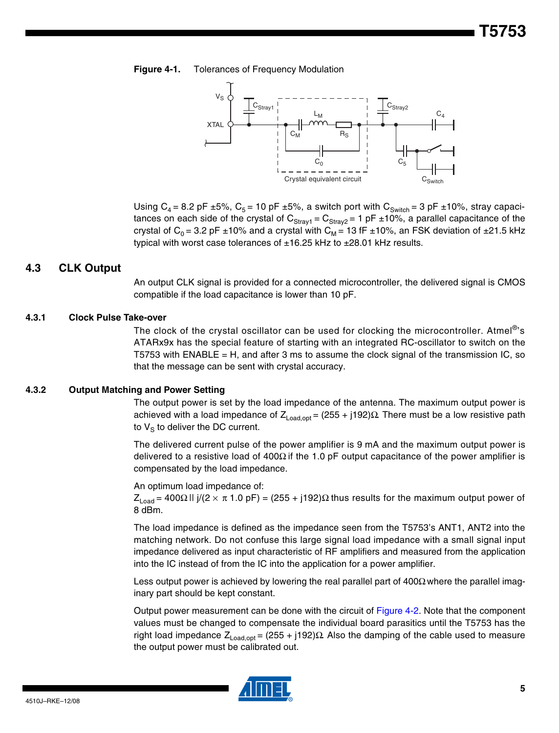#### **Figure 4-1.** Tolerances of Frequency Modulation



Using  $C_4$  = 8.2 pF ±5%,  $C_5$  = 10 pF ±5%, a switch port with  $C_{\text{Switch}}$  = 3 pF ±10%, stray capacitances on each side of the crystal of  $C_{Stray1} = C_{Stray2} = 1$  pF ±10%, a parallel capacitance of the crystal of C<sub>0</sub> = 3.2 pF  $\pm$ 10% and a crystal with C<sub>M</sub> = 13 fF  $\pm$ 10%, an FSK deviation of  $\pm$ 21.5 kHz typical with worst case tolerances of  $\pm 16.25$  kHz to  $\pm 28.01$  kHz results.

#### **4.3 CLK Output**

An output CLK signal is provided for a connected microcontroller, the delivered signal is CMOS compatible if the load capacitance is lower than 10 pF.

#### **4.3.1 Clock Pulse Take-over**

The clock of the crystal oscillator can be used for clocking the microcontroller. Atmel<sup>®</sup>'s ATARx9x has the special feature of starting with an integrated RC-oscillator to switch on the T5753 with ENABLE = H, and after 3 ms to assume the clock signal of the transmission IC, so that the message can be sent with crystal accuracy.

#### **4.3.2 Output Matching and Power Setting**

The output power is set by the load impedance of the antenna. The maximum output power is achieved with a load impedance of  $Z_{Load, opt} = (255 + j192)Ω$  There must be a low resistive path to  $V_{\rm S}$  to deliver the DC current.

The delivered current pulse of the power amplifier is 9 mA and the maximum output power is delivered to a resistive load of 400Ω if the 1.0 pF output capacitance of the power amplifier is compensated by the load impedance.

An optimum load impedance of:

 $Z_{\text{Load}}$  = 400Ω II j/(2 × π 1.0 pF) = (255 + j192)Ω thus results for the maximum output power of 8 dBm.

The load impedance is defined as the impedance seen from the T5753's ANT1, ANT2 into the matching network. Do not confuse this large signal load impedance with a small signal input impedance delivered as input characteristic of RF amplifiers and measured from the application into the IC instead of from the IC into the application for a power amplifier.

Less output power is achieved by lowering the real parallel part of  $400\Omega$  where the parallel imaginary part should be kept constant.

Output power measurement can be done with the circuit of Figure 4-2. Note that the component values must be changed to compensate the individual board parasitics until the T5753 has the right load impedance  $Z_{Load,opt} = (255 + j192)Ω$  Also the damping of the cable used to measure the output power must be calibrated out.

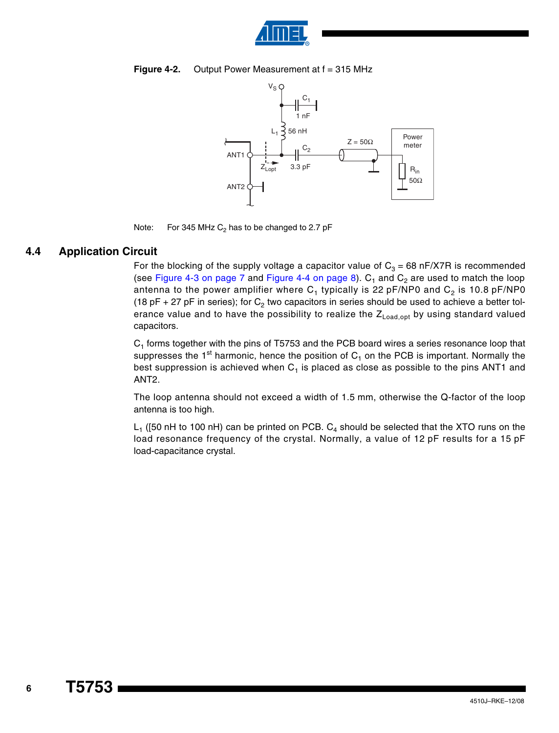





Note: For 345 MHz  $C_2$  has to be changed to 2.7 pF

#### **4.4 Application Circuit**

For the blocking of the supply voltage a capacitor value of  $C_3 = 68$  nF/X7R is recommended (see Figure 4-3 on page 7 and Figure 4-4 on page 8).  $C_1$  and  $C_2$  are used to match the loop antenna to the power amplifier where  $C_1$  typically is 22 pF/NP0 and  $C_2$  is 10.8 pF/NP0 (18 pF + 27 pF in series); for  $C_2$  two capacitors in series should be used to achieve a better tolerance value and to have the possibility to realize the  $Z_{\text{Load,opt}}$  by using standard valued capacitors.

 $C<sub>1</sub>$  forms together with the pins of T5753 and the PCB board wires a series resonance loop that suppresses the 1<sup>st</sup> harmonic, hence the position of  $C_1$  on the PCB is important. Normally the best suppression is achieved when  $C_1$  is placed as close as possible to the pins ANT1 and ANT2.

The loop antenna should not exceed a width of 1.5 mm, otherwise the Q-factor of the loop antenna is too high.

 $L_1$  ([50 nH to 100 nH) can be printed on PCB.  $C_4$  should be selected that the XTO runs on the load resonance frequency of the crystal. Normally, a value of 12 pF results for a 15 pF load-capacitance crystal.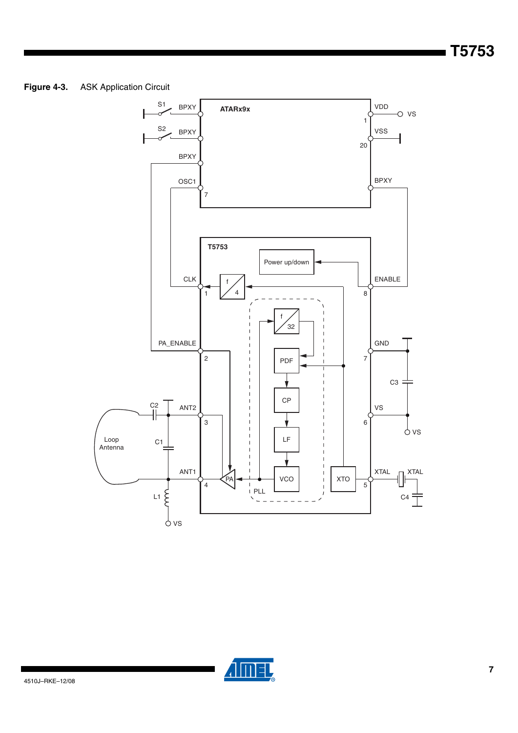#### **Figure 4-3.** ASK Application Circuit



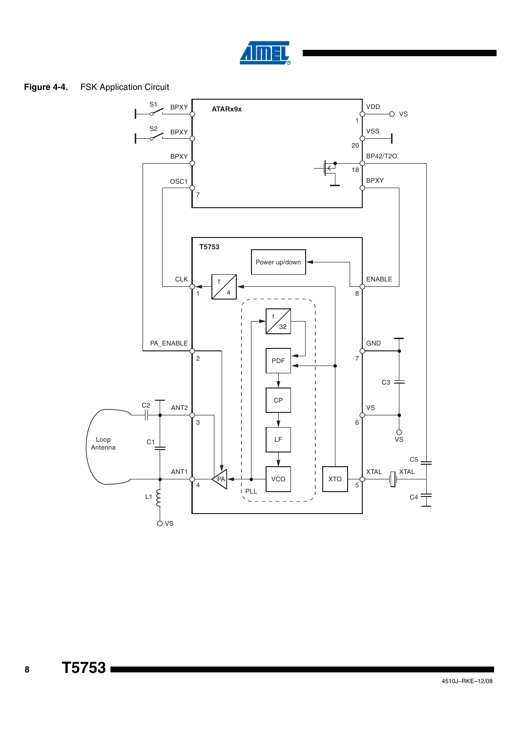

#### **Figure 4-4.** FSK Application Circuit



**T5753**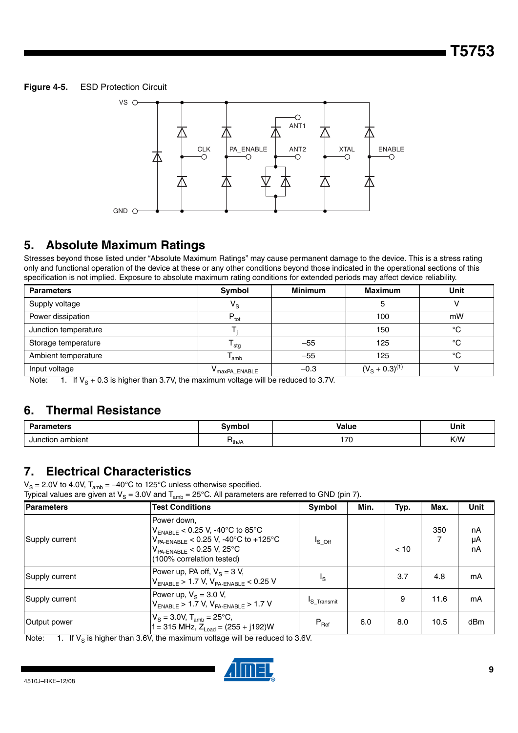#### **Figure 4-5.** ESD Protection Circuit



### **5. Absolute Maximum Ratings**

Stresses beyond those listed under "Absolute Maximum Ratings" may cause permanent damage to the device. This is a stress rating only and functional operation of the device at these or any other conditions beyond those indicated in the operational sections of this specification is not implied. Exposure to absolute maximum rating conditions for extended periods may affect device reliability.

| <b>Parameters</b>    | Symbol                                | <b>Minimum</b> | <b>Maximum</b>     | Unit |
|----------------------|---------------------------------------|----------------|--------------------|------|
| Supply voltage       | $V_{\rm S}$                           |                |                    |      |
| Power dissipation    | $P_{\text{tot}}$                      |                | 100                | mW   |
| Junction temperature |                                       |                | 150                | °C   |
| Storage temperature  | $\mathsf{r}_{\mathsf{stg}}$           | $-55$          | 125                | °C   |
| Ambient temperature  | l <sub>amb</sub>                      | $-55$          | 125                | °C   |
| Input voltage        | $\mathsf{V}_{\mathsf{maxPA\_ENABLE}}$ | $-0.3$         | $(VS + 0.3)^{(1)}$ |      |

Note: 1. If  $V_{\rm S}$  + 0.3 is higher than 3.7V, the maximum voltage will be reduced to 3.7V.

### **6. Thermal Resistance**

| <b>Parameters</b> | ≅vmbol | <b>Value</b> | Unit |
|-------------------|--------|--------------|------|
| Junction ambient  | ำthJA  | 70<br>. L    | K/W  |

### **7. Electrical Characteristics**

 $V_{\rm S}$  = 2.0V to 4.0V, T<sub>amb</sub> = –40°C to 125°C unless otherwise specified.

Typical values are given at  $\mathsf{V}_\mathsf{S}=3.0\mathsf{V}$  and  $\mathsf{T}_\mathsf{amb}=25^\circ\mathsf{C}.$  All parameters are referred to GND (pin 7).

| <b>Parameters</b> | <b>Test Conditions</b>                                                                                                                                          | Symbol                  | Min. | Typ. | Max. | Unit           |
|-------------------|-----------------------------------------------------------------------------------------------------------------------------------------------------------------|-------------------------|------|------|------|----------------|
| Supply current    | Power down.<br>$V_{ENABLE}$ < 0.25 V, -40°C to 85°C<br>$V_{PA-ENABLE}$ < 0.25 V, -40°C to +125°C<br>$V_{PA-ENABLE}$ < 0.25 V, 25°C<br>(100% correlation tested) | $I_S$ off               |      | < 10 | 350  | nA<br>μA<br>nA |
| Supply current    | Power up, PA off, $V_s = 3 V$ ,<br>$V_{ENABLE}$ > 1.7 V, $V_{PA-ENABLE}$ < 0.25 V                                                                               | Ιs                      |      | 3.7  | 4.8  | mA             |
| Supply current    | Power up, $V_s = 3.0$ V,<br>$V_{ENABLE}$ > 1.7 V, $V_{PA-ENABLE}$ > 1.7 V                                                                                       | <sup>I</sup> S Transmit |      | 9    | 11.6 | mA             |
| Output power      | $V_S = 3.0V$ , $T_{amb} = 25^{\circ}C$ ,<br>$f = 315$ MHz, $Z_{1,0} = (255 + j192)W$                                                                            | $P_{\text{Ref}}$        | 6.0  | 8.0  | 10.5 | dBm            |

Note: 1. If  $V_\text{S}$  is higher than 3.6V, the maximum voltage will be reduced to 3.6V.

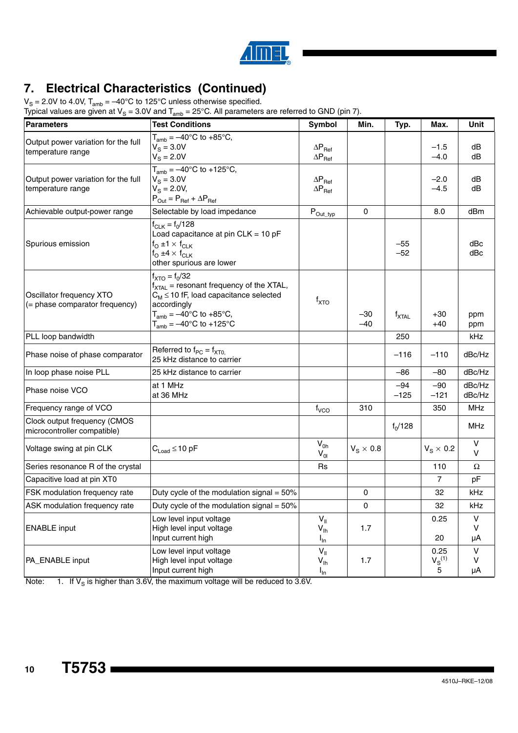

## **7. Electrical Characteristics (Continued)**

 $V_{\rm S}$  = 2.0V to 4.0V, T<sub>amb</sub> = –40°C to 125°C unless otherwise specified.

| Typical values are given at V <sub>S</sub> = 3.0V and T <sub>amb</sub> = 25°C. All parameters are referred to GND (pin 7). |                                                                                                                                                                                                                             |                                                               |                  |                   |                          |                         |
|----------------------------------------------------------------------------------------------------------------------------|-----------------------------------------------------------------------------------------------------------------------------------------------------------------------------------------------------------------------------|---------------------------------------------------------------|------------------|-------------------|--------------------------|-------------------------|
| <b>Parameters</b>                                                                                                          | <b>Test Conditions</b>                                                                                                                                                                                                      | Symbol                                                        | Min.             | Typ.              | Max.                     | Unit                    |
| Output power variation for the full<br>temperature range                                                                   | $T_{amb} = -40^{\circ}$ C to +85°C,<br>$V_{\rm s} = 3.0 V$<br>$V_{\rm S} = 2.0 V$                                                                                                                                           | $\Delta \mathsf{P}_{\mathsf{Ref}}$<br>$\Delta P_{\text{Ref}}$ |                  |                   | $-1.5$<br>$-4.0$         | dB<br>dB                |
| Output power variation for the full<br>temperature range                                                                   | $T_{amb} = -40^{\circ}C$ to +125°C,<br>$V_{\rm s} = 3.0 V$<br>$V_{\rm S} = 2.0 V,$<br>$P_{Out} = P_{Ref} + \Delta P_{Ref}$                                                                                                  | $\Delta P_{\text{Ref}}$<br>$\Delta P_{\text{Ref}}$            |                  |                   | $-2.0$<br>$-4.5$         | dB<br>dB                |
| Achievable output-power range                                                                                              | Selectable by load impedance                                                                                                                                                                                                | $P_{Out\_typ}$                                                | $\mathbf 0$      |                   | 8.0                      | dBm                     |
| Spurious emission                                                                                                          | $f_{CLK} = f_0/128$<br>Load capacitance at pin $CLK = 10$ pF<br>f <sub>O</sub> ±1 $\times$ f <sub>CLK</sub><br>$f_{\rm O}$ ±4 $\times$ $f_{\rm CLK}$<br>other spurious are lower                                            |                                                               |                  | $-55$<br>$-52$    |                          | dBc<br>dBc              |
| Oscillator frequency XTO<br>(= phase comparator frequency)                                                                 | $f_{\text{XTO}} = f_0/32$<br>$f_{\text{XTAL}}$ = resonant frequency of the XTAL,<br>$C_M \leq 10$ fF, load capacitance selected<br>accordingly<br>$T_{amb} = -40^{\circ}C$ to +85°C,<br>$T_{amb} = -40^{\circ}$ C to +125°C | $f_{\text{XTO}}$                                              | $-30$<br>$-40$   | $f_{\text{XTAL}}$ | $+30$<br>$+40$           | ppm<br>ppm              |
| PLL loop bandwidth                                                                                                         |                                                                                                                                                                                                                             |                                                               |                  | 250               |                          | kHz                     |
| Phase noise of phase comparator                                                                                            | Referred to $f_{PC} = f_{XT0}$<br>25 kHz distance to carrier                                                                                                                                                                |                                                               |                  | $-116$            | $-110$                   | dBc/Hz                  |
| In loop phase noise PLL                                                                                                    | 25 kHz distance to carrier                                                                                                                                                                                                  |                                                               |                  | $-86$             | $-80$                    | dBc/Hz                  |
| Phase noise VCO                                                                                                            | at 1 MHz<br>at 36 MHz                                                                                                                                                                                                       |                                                               |                  | $-94$<br>$-125$   | $-90$<br>$-121$          | dBc/Hz<br>dBc/Hz        |
| Frequency range of VCO                                                                                                     |                                                                                                                                                                                                                             | $f_{VCO}$                                                     | 310              |                   | 350                      | <b>MHz</b>              |
| Clock output frequency (CMOS<br>microcontroller compatible)                                                                |                                                                                                                                                                                                                             |                                                               |                  | $f_0/128$         |                          | <b>MHz</b>              |
| Voltage swing at pin CLK                                                                                                   | $C_{Load} \leq 10$ pF                                                                                                                                                                                                       | $V_{0h}$<br>$V_{0I}$                                          | $V_S \times 0.8$ |                   | $V_S \times 0.2$         | V<br>$\vee$             |
| Series resonance R of the crystal                                                                                          |                                                                                                                                                                                                                             | <b>Rs</b>                                                     |                  |                   | 110                      | Ω                       |
| Capacitive load at pin XT0                                                                                                 |                                                                                                                                                                                                                             |                                                               |                  |                   | 7                        | pF                      |
| FSK modulation frequency rate                                                                                              | Duty cycle of the modulation signal = 50%                                                                                                                                                                                   |                                                               | 0                |                   | 32                       | kHz                     |
| ASK modulation frequency rate                                                                                              | Duty cycle of the modulation signal = $50\%$                                                                                                                                                                                |                                                               | $\mathbf 0$      |                   | 32                       | kHz                     |
| <b>ENABLE</b> input                                                                                                        | Low level input voltage<br>High level input voltage<br>Input current high                                                                                                                                                   | $V_{\parallel}$<br>$V_{\text{lh}}$<br>$I_{\text{In}}$         | 1.7              |                   | 0.25<br>20               | V<br>v<br>μA            |
| PA_ENABLE input                                                                                                            | Low level input voltage<br>High level input voltage<br>Input current high                                                                                                                                                   | $V_{\parallel}$<br>$V_{\text{lh}}$<br>$I_{\text{In}}$         | 1.7              |                   | 0.25<br>$V_S^{(1)}$<br>5 | $\mathsf{V}$<br>v<br>μA |

Note: 1. If  $V_\text{S}$  is higher than 3.6V, the maximum voltage will be reduced to 3.6V.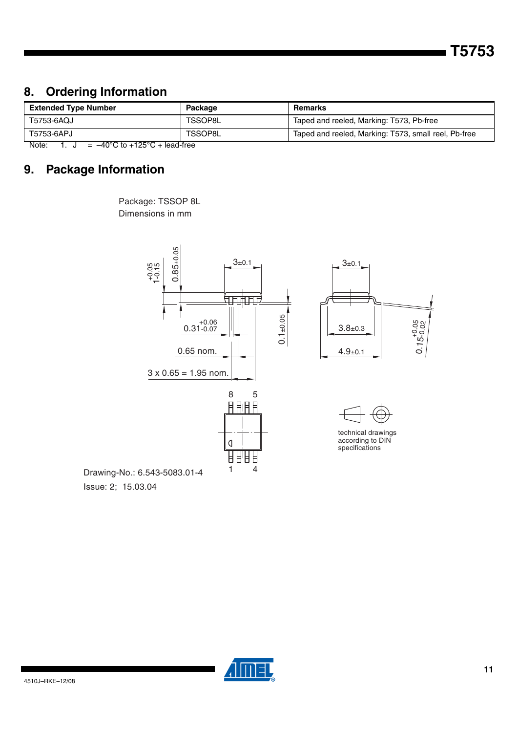**T5753**

### **8. Ordering Information**

| <b>Extended Type Number</b>                           | Package | Remarks                                              |  |
|-------------------------------------------------------|---------|------------------------------------------------------|--|
| T5753-6AQJ                                            | TSSOP8L | Taped and reeled, Marking: T573, Pb-free             |  |
| T5753-6APJ                                            | TSSOP8L | Taped and reeled, Marking: T573, small reel, Pb-free |  |
| $1000 \text{ kg}$ , $10000 \text{ kg}$<br>$N = 1 - 1$ |         |                                                      |  |

Note:  $1. \text{ J} = -40^{\circ} \text{C}$  to  $+125^{\circ} \text{C} + \text{lead-free}$ 

### **9. Package Information**





Issue: 2; 15.03.04

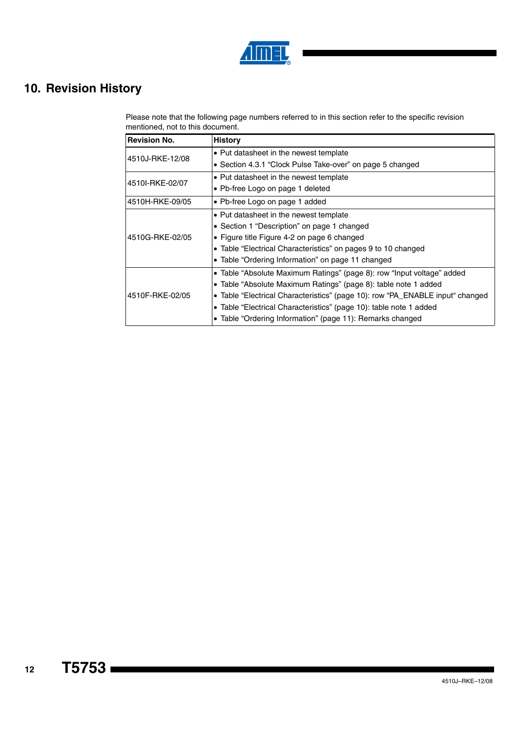

## **10. Revision History**

Please note that the following page numbers referred to in this section refer to the specific revision mentioned, not to this document.

| <b>Revision No.</b> | <b>History</b>                                                                |
|---------------------|-------------------------------------------------------------------------------|
| 4510J-RKE-12/08     | • Put datasheet in the newest template                                        |
|                     | • Section 4.3.1 "Clock Pulse Take-over" on page 5 changed                     |
| 4510I-RKE-02/07     | • Put datasheet in the newest template                                        |
|                     | • Pb-free Logo on page 1 deleted                                              |
| 14510H-RKE-09/05    | • Pb-free Logo on page 1 added                                                |
|                     | • Put datasheet in the newest template                                        |
|                     | • Section 1 "Description" on page 1 changed                                   |
| 4510G-RKE-02/05     | • Figure title Figure 4-2 on page 6 changed                                   |
|                     | • Table "Electrical Characteristics" on pages 9 to 10 changed                 |
|                     | • Table "Ordering Information" on page 11 changed                             |
|                     | • Table "Absolute Maximum Ratings" (page 8): row "Input voltage" added        |
|                     | • Table "Absolute Maximum Ratings" (page 8): table note 1 added               |
| 4510F-RKE-02/05     | • Table "Electrical Characteristics" (page 10): row "PA_ENABLE input" changed |
|                     | • Table "Electrical Characteristics" (page 10): table note 1 added            |
|                     | Table "Ordering Information" (page 11): Remarks changed                       |